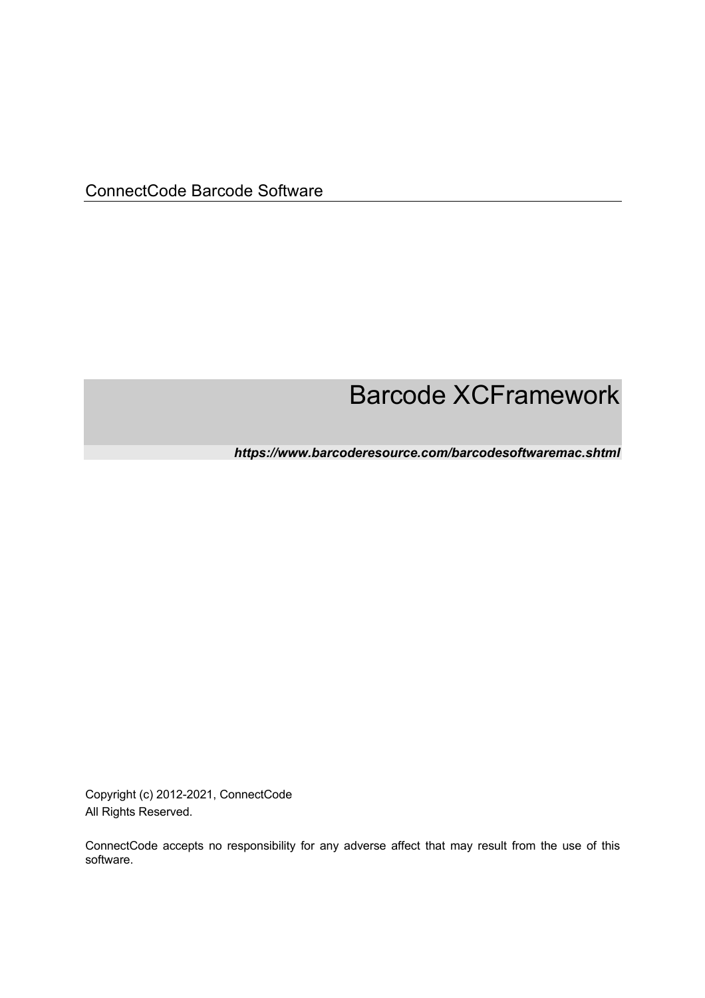# Barcode XCFramework

*https://www.barcoderesource.com/barcodesoftwaremac.shtml* 

Copyright (c) 2012-2021, ConnectCode All Rights Reserved.

ConnectCode accepts no responsibility for any adverse affect that may result from the use of this software.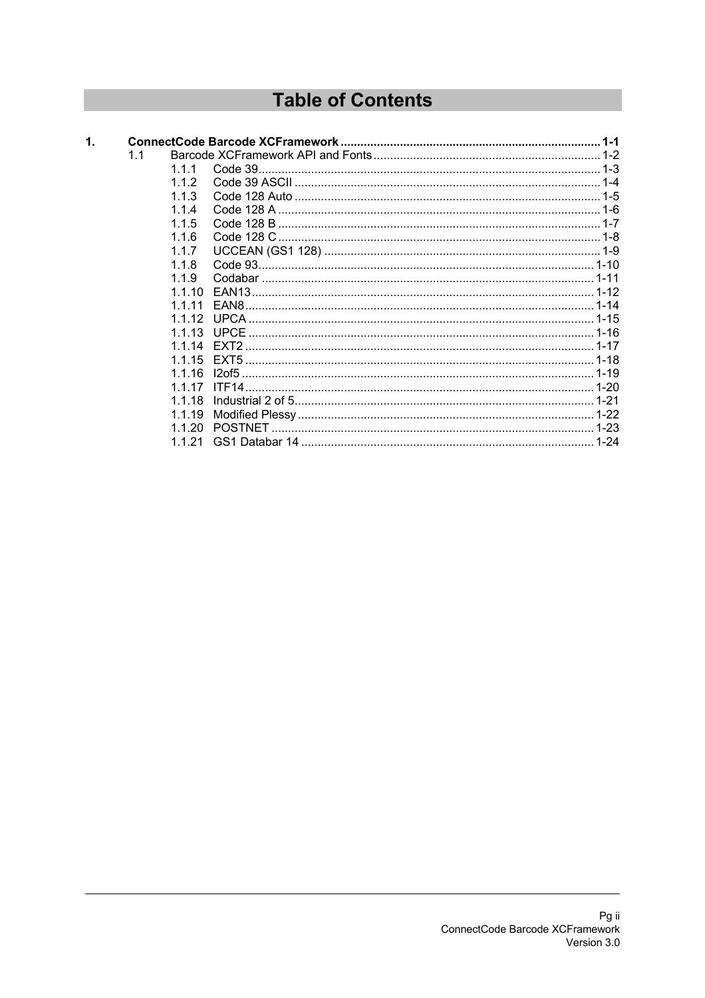## **Table of Contents**

| $\mathbf{1}$ |     |                    |                                               |  |
|--------------|-----|--------------------|-----------------------------------------------|--|
|              | 1.1 |                    |                                               |  |
|              |     | 111                |                                               |  |
|              |     | 112                |                                               |  |
|              |     | 1 1 $\overline{3}$ |                                               |  |
|              |     | 114                |                                               |  |
|              |     | 115                |                                               |  |
|              |     | 1.1.6              |                                               |  |
|              |     | 117                |                                               |  |
|              |     | 118                |                                               |  |
|              |     | 119                |                                               |  |
|              |     | 1 1 1 0            |                                               |  |
|              |     | 1 1 1 1            |                                               |  |
|              |     | 1112               |                                               |  |
|              |     | 1 1 1 3            |                                               |  |
|              |     | 1 1 1 1            | FXT2                                          |  |
|              |     | 1.1.15             | EXT5 …………………………………………………………………………………………… 1-18 |  |
|              |     | 1 1 1 6            |                                               |  |
|              |     | 1 1 1 7            |                                               |  |
|              |     | 1 1 1 8            |                                               |  |
|              |     | 1.1.19             |                                               |  |
|              |     | 1.1.20             |                                               |  |
|              |     | -21                |                                               |  |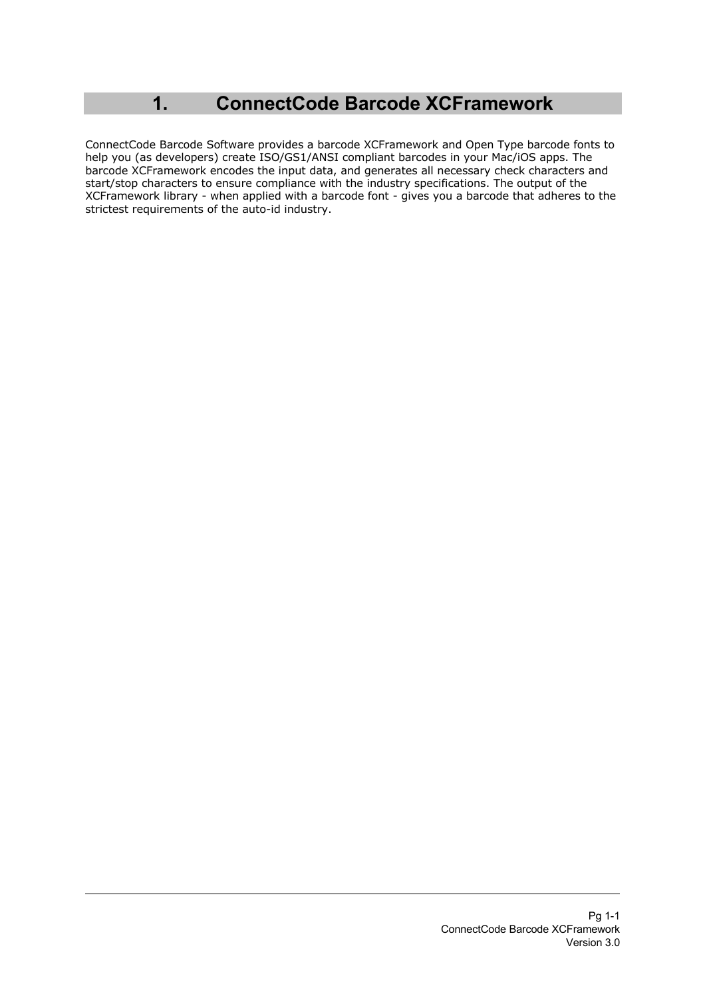## **1. ConnectCode Barcode XCFramework**

ConnectCode Barcode Software provides a barcode XCFramework and Open Type barcode fonts to help you (as developers) create ISO/GS1/ANSI compliant barcodes in your Mac/iOS apps. The barcode XCFramework encodes the input data, and generates all necessary check characters and start/stop characters to ensure compliance with the industry specifications. The output of the XCFramework library - when applied with a barcode font - gives you a barcode that adheres to the strictest requirements of the auto-id industry.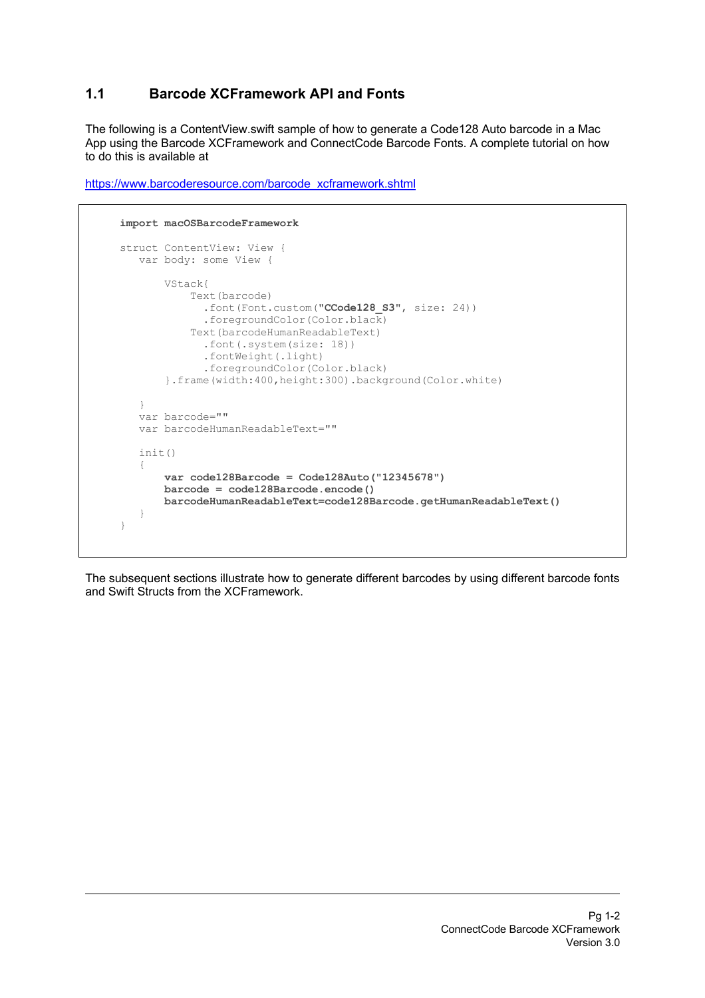## **1.1 Barcode XCFramework API and Fonts**

The following is a ContentView.swift sample of how to generate a Code128 Auto barcode in a Mac App using the Barcode XCFramework and ConnectCode Barcode Fonts. A complete tutorial on how to do this is available at

```
 import macOSBarcodeFramework
    struct ContentView: View {
       var body: some View {
           VStack{
                Text(barcode)
                  .font(Font.custom("CCode128_S3", size: 24))
                  .foregroundColor(Color.black)
               Text(barcodeHumanReadableText)
                  .font(.system(size: 18))
                 .fontWeight(.light)
                .foregroundColor(Color.black)
            }.frame(width:400,height:300).background(Color.white)
 }
       var barcode=""
       var barcodeHumanReadableText=""
       init()
        {
            var code128Barcode = Code128Auto("12345678")
           barcode = code128Barcode.encode()
           barcodeHumanReadableText=code128Barcode.getHumanReadableText()
 }
     }
```
https://www.barcoderesource.com/barcode\_xcframework.shtml

The subsequent sections illustrate how to generate different barcodes by using different barcode fonts and Swift Structs from the XCFramework.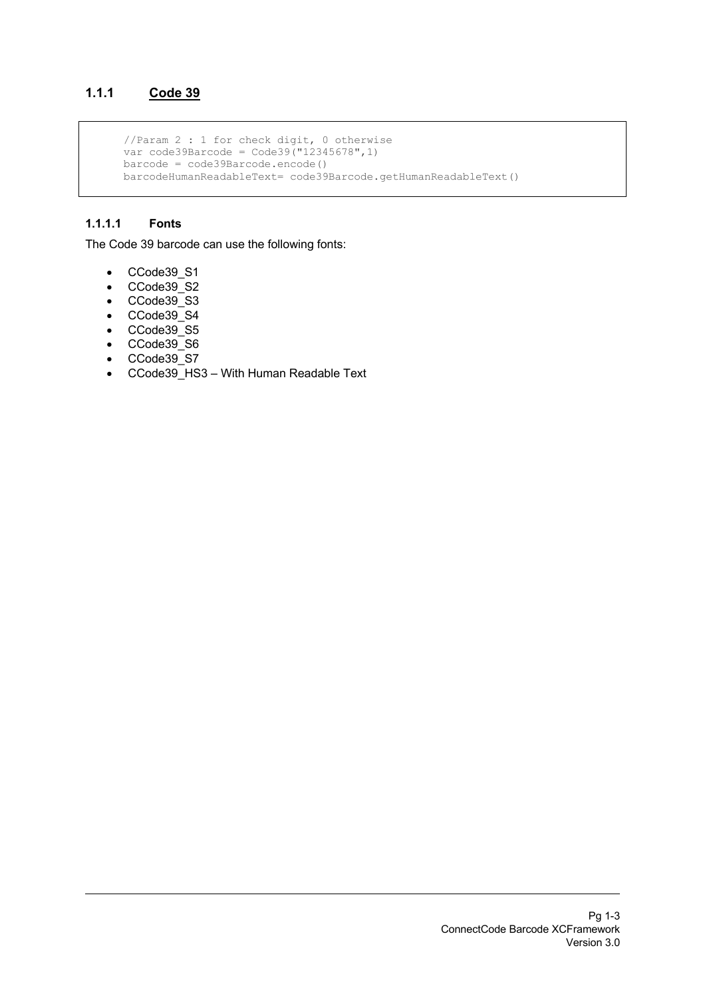## **1.1.1 Code 39**

```
 //Param 2 : 1 for check digit, 0 otherwise
 var code39Barcode = Code39("12345678",1)
      barcode = code39Barcode.encode()
      barcodeHumanReadableText= code39Barcode.getHumanReadableText()
```
#### **1.1.1.1 Fonts**

The Code 39 barcode can use the following fonts:

- CCode39\_S1
- CCode39\_S2
- CCode39\_S3
- CCode39\_S4
- CCode39\_S5
- CCode39\_S6
- CCode39\_S7
- CCode39\_HS3 With Human Readable Text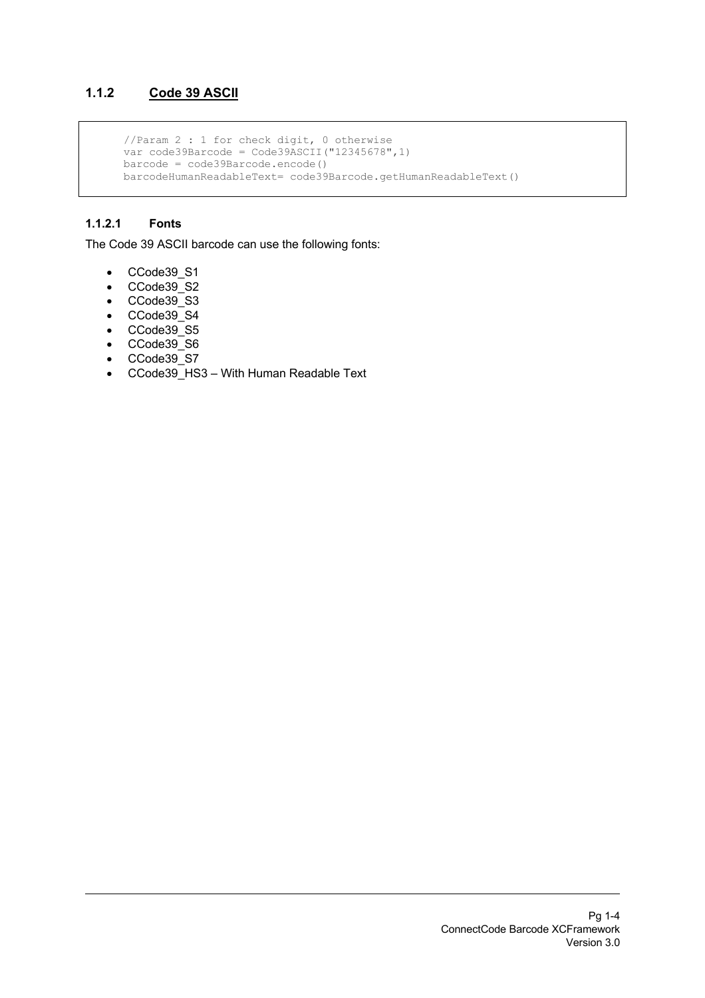## **1.1.2 Code 39 ASCII**

```
 //Param 2 : 1 for check digit, 0 otherwise
 var code39Barcode = Code39ASCII("12345678",1)
      barcode = code39Barcode.encode()
      barcodeHumanReadableText= code39Barcode.getHumanReadableText()
```
### **1.1.2.1 Fonts**

The Code 39 ASCII barcode can use the following fonts:

- CCode39\_S1
- CCode39\_S2
- CCode39\_S3
- CCode39\_S4
- CCode39\_S5
- CCode39\_S6
- CCode39\_S7
- CCode39\_HS3 With Human Readable Text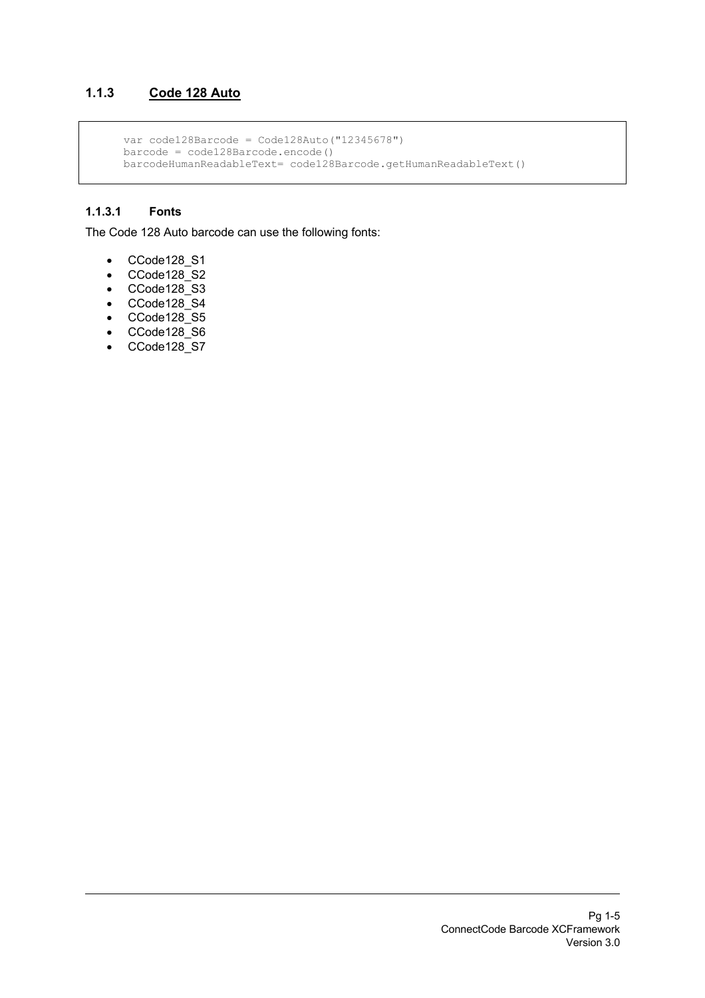## **1.1.3 Code 128 Auto**

```
 var code128Barcode = Code128Auto("12345678")
 barcode = code128Barcode.encode()
 barcodeHumanReadableText= code128Barcode.getHumanReadableText()
```
#### **1.1.3.1 Fonts**

The Code 128 Auto barcode can use the following fonts:

- CCode128\_S1
- CCode128\_S2
- CCode128\_S3
- CCode128\_S4
- CCode128\_S5
- CCode128\_S6
- CCode128\_S7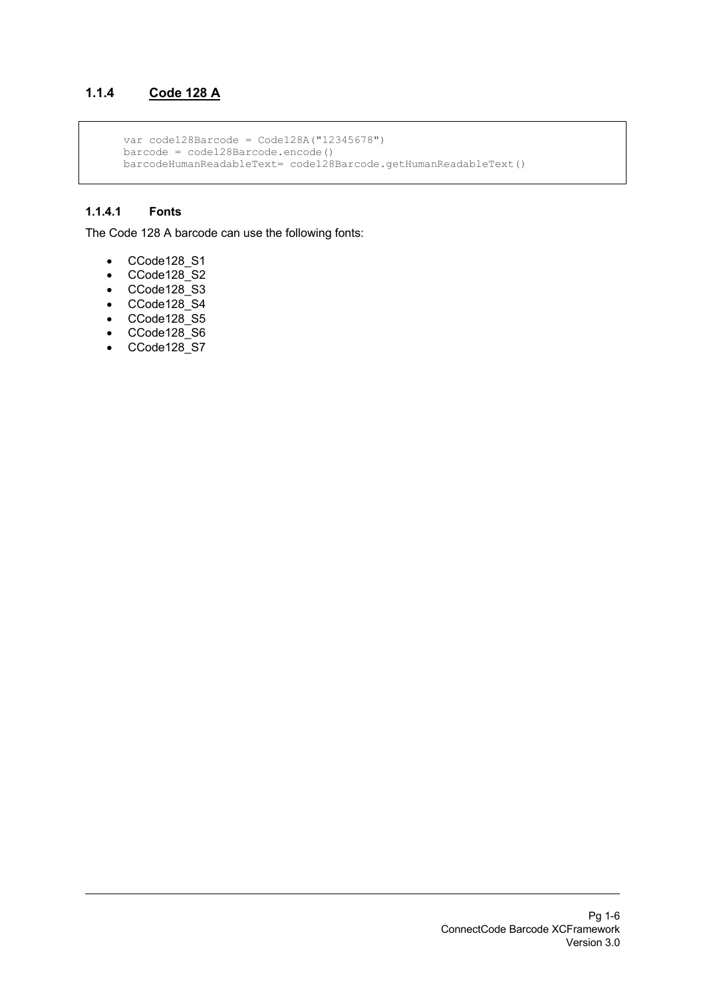## **1.1.4 Code 128 A**

```
 var code128Barcode = Code128A("12345678")
 barcode = code128Barcode.encode()
 barcodeHumanReadableText= code128Barcode.getHumanReadableText()
```
### **1.1.4.1 Fonts**

The Code 128 A barcode can use the following fonts:

- CCode128\_S1
- CCode128\_S2
- CCode128\_S3
- CCode128\_S4
- $\bullet$  CCode128 $\overline{\phantom{a}}$ S5
- CCode128\_S6
- CCode128\_S7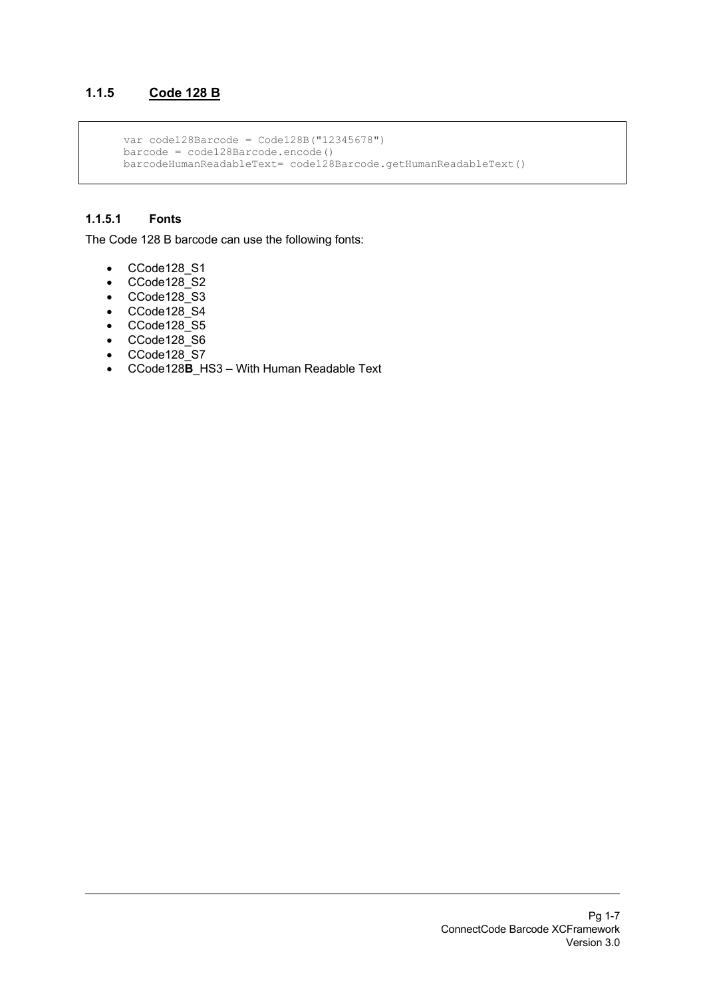## **1.1.5 Code 128 B**

```
 var code128Barcode = Code128B("12345678")
 barcode = code128Barcode.encode()
 barcodeHumanReadableText= code128Barcode.getHumanReadableText()
```
### **1.1.5.1 Fonts**

The Code 128 B barcode can use the following fonts:

- CCode128\_S1
- $\bullet$  CCode128 $^-$ S2
- CCode128\_S3
- CCode128\_S4
- CCode128\_S5
- CCode128\_S6
- CCode128\_S7
- CCode128**B**\_HS3 With Human Readable Text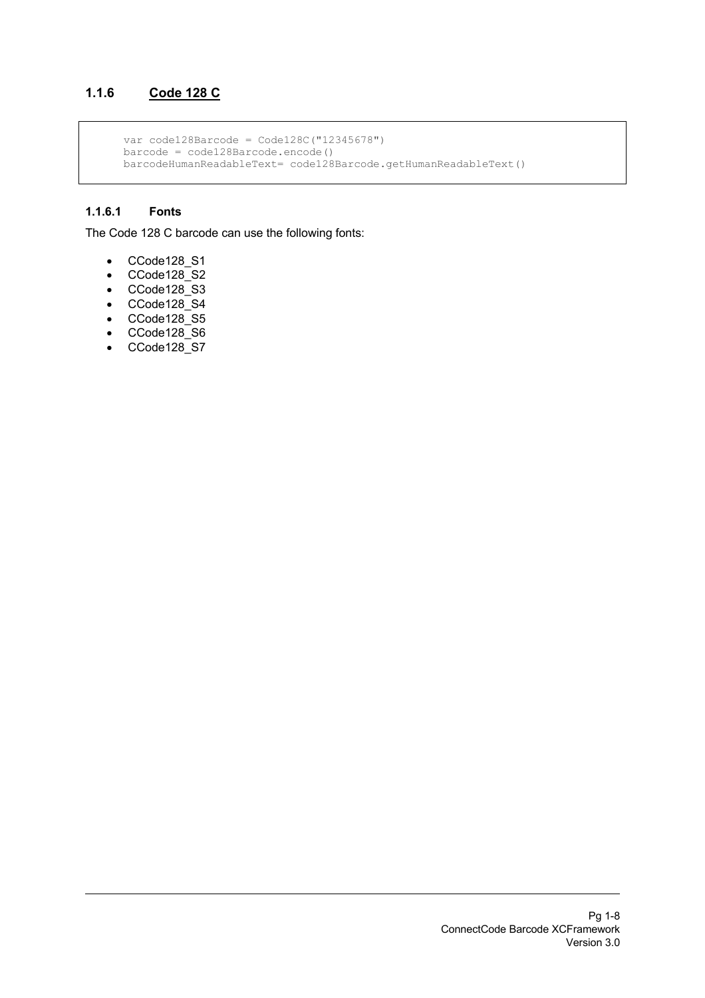## **1.1.6 Code 128 C**

```
 var code128Barcode = Code128C("12345678")
 barcode = code128Barcode.encode()
 barcodeHumanReadableText= code128Barcode.getHumanReadableText()
```
#### **1.1.6.1 Fonts**

The Code 128 C barcode can use the following fonts:

- CCode128\_S1
- CCode128\_S2
- CCode128\_S3
- CCode128\_S4
- $\bullet$  CCode128 $\overline{\phantom{a}}$ S5
- CCode128\_S6
- CCode128\_S7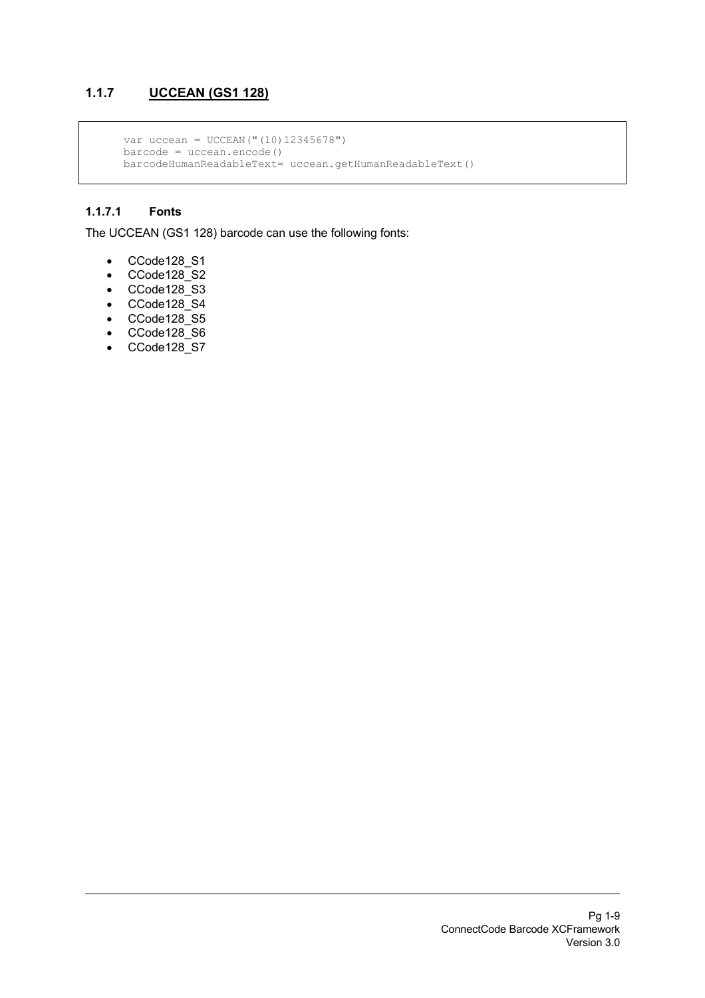## **1.1.7 UCCEAN (GS1 128)**

```
var uccean = UCCEAN("(10)12345678")
 barcode = uccean.encode()
 barcodeHumanReadableText= uccean.getHumanReadableText()
```
### **1.1.7.1 Fonts**

The UCCEAN (GS1 128) barcode can use the following fonts:

- CCode128\_S1
- CCode128\_S2
- CCode128\_S3
- CCode128\_S4
- $\bullet$  CCode128 $\overline{\phantom{a}}$ S5
- CCode128\_S6
- CCode128\_S7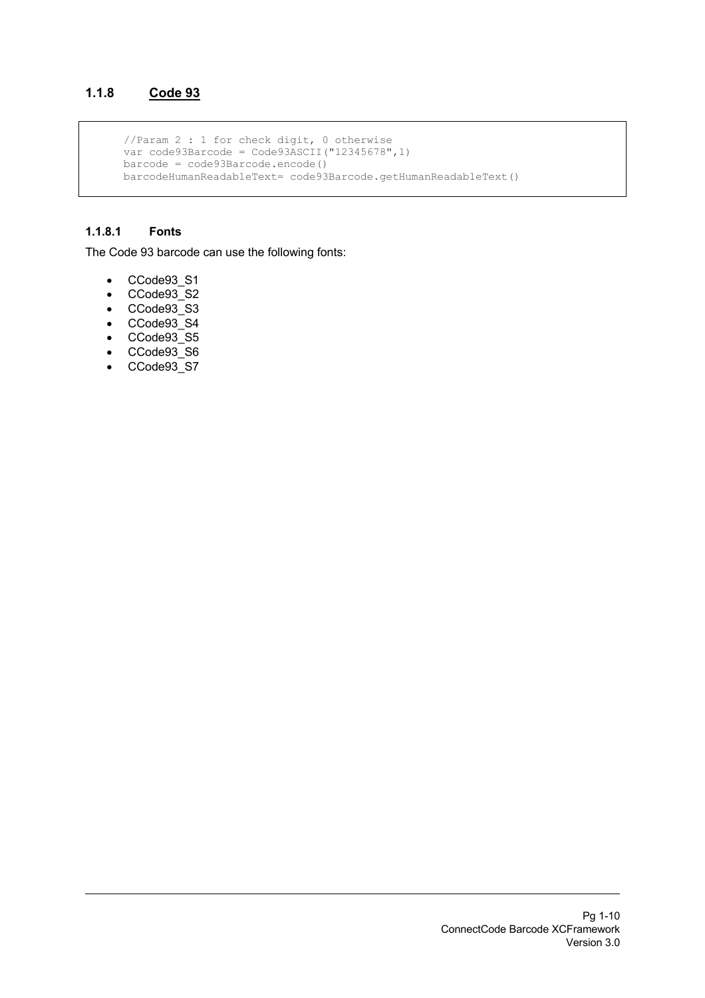## **1.1.8 Code 93**

```
 //Param 2 : 1 for check digit, 0 otherwise
 var code93Barcode = Code93ASCII("12345678",1)
      barcode = code93Barcode.encode()
      barcodeHumanReadableText= code93Barcode.getHumanReadableText()
```
#### **1.1.8.1 Fonts**

The Code 93 barcode can use the following fonts:

- CCode93\_S1
- CCode93<sup>-</sup>S2
- CCode93\_S3
- CCode93\_S4
- CCode93\_S5
- CCode93\_S6
- CCode93\_S7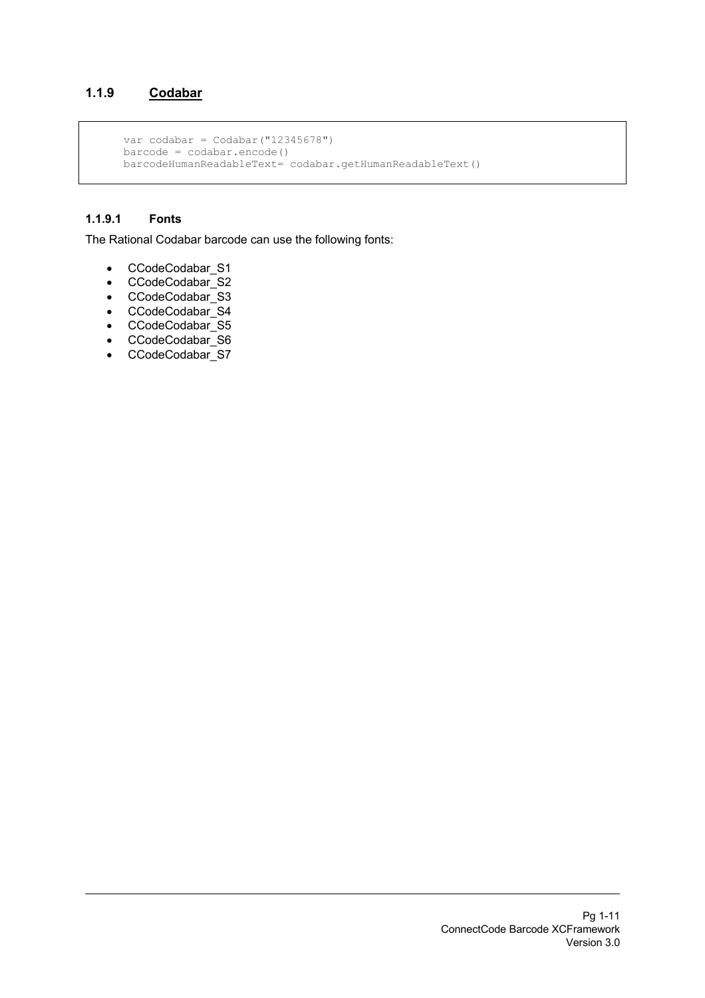## **1.1.9 Codabar**

```
var codabar = \text{Codabar}(\text{''12345678''})barcode = codabar.encode() barcodeHumanReadableText= codabar.getHumanReadableText()
```
## **1.1.9.1 Fonts**

The Rational Codabar barcode can use the following fonts:

- CCodeCodabar\_S1
- CCodeCodabar\_S2
- CCodeCodabar\_S3
- CCodeCodabar<sup>54</sup>
- CCodeCodabar\_S5
- CCodeCodabar\_S6
- CCodeCodabar\_S7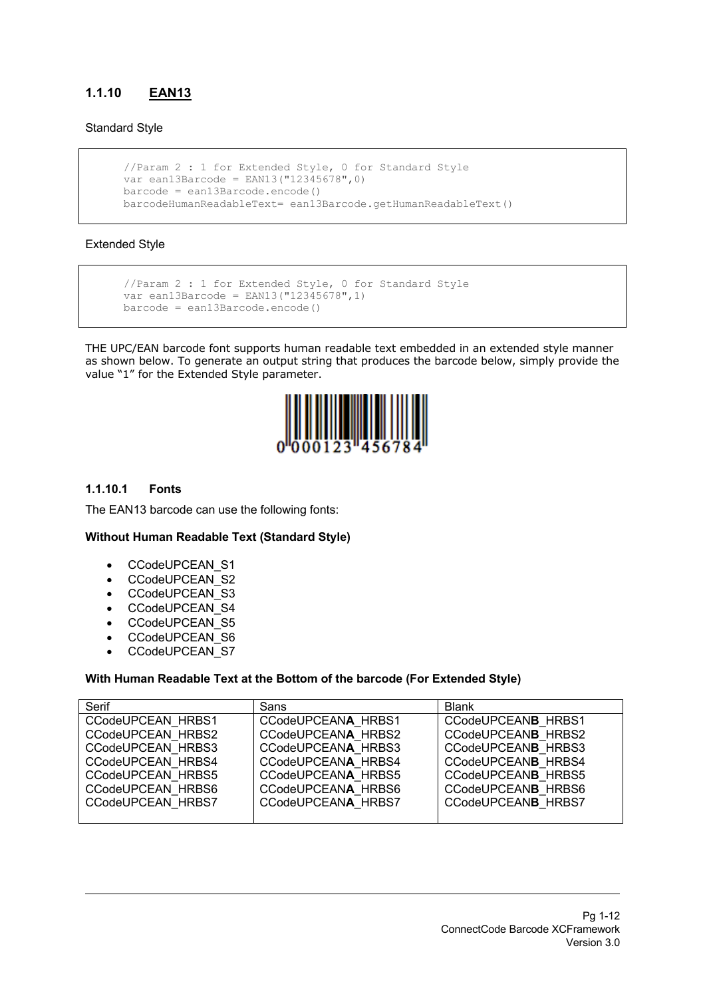## **1.1.10 EAN13**

#### Standard Style

```
 //Param 2 : 1 for Extended Style, 0 for Standard Style
 var ean13Barcode = EAN13("12345678",0)
\text{barcode} = \text{ean13Barcode}.\text{encode}() barcodeHumanReadableText= ean13Barcode.getHumanReadableText()
```
#### Extended Style

```
 //Param 2 : 1 for Extended Style, 0 for Standard Style
 var ean13Barcode = EAN13("12345678",1)
 barcode = ean13Barcode.encode()
```
THE UPC/EAN barcode font supports human readable text embedded in an extended style manner as shown below. To generate an output string that produces the barcode below, simply provide the value "1" for the Extended Style parameter.



#### **1.1.10.1 Fonts**

The EAN13 barcode can use the following fonts:

#### **Without Human Readable Text (Standard Style)**

- CCodeUPCEAN\_S1
- CCodeUPCEAN\_S2
- CCodeUPCEAN\_S3
- CCodeUPCEAN\_S4
- CCodeUPCEAN\_S5
- CCodeUPCEAN\_S6
- CCodeUPCEAN S7

#### **With Human Readable Text at the Bottom of the barcode (For Extended Style)**

| Serif                    | Sans               | <b>Blank</b>              |
|--------------------------|--------------------|---------------------------|
| CCodeUPCEAN HRBS1        | CCodeUPCEANA HRBS1 | CCodeUPCEANB HRBS1        |
| CCodeUPCEAN HRBS2        | CCodeUPCEANA HRBS2 | CCodeUPCEANB HRBS2        |
| <b>CCodeUPCEAN HRBS3</b> | CCodeUPCEANA HRBS3 | CCodeUPCEANB HRBS3        |
| CCodeUPCEAN HRBS4        | CCodeUPCEANA HRBS4 | CCodeUPCEANB HRBS4        |
| CCodeUPCEAN HRBS5        | CCodeUPCEANA HRBS5 | CCodeUPCEANB HRBS5        |
| CCodeUPCEAN HRBS6        | CCodeUPCEANA HRBS6 | CCodeUPCEANB HRBS6        |
| <b>CCodeUPCEAN HRBS7</b> | CCodeUPCEANA HRBS7 | <b>CCodeUPCEANB HRBS7</b> |
|                          |                    |                           |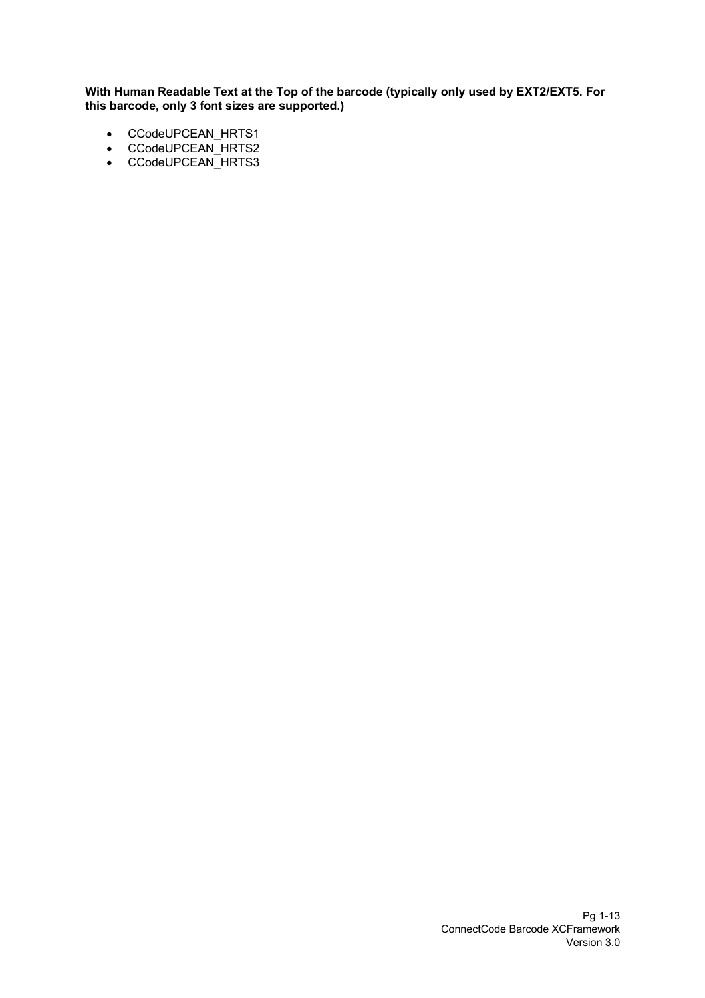- CCodeUPCEAN\_HRTS1
- CCodeUPCEAN\_HRTS2
- CCodeUPCEAN\_HRTS3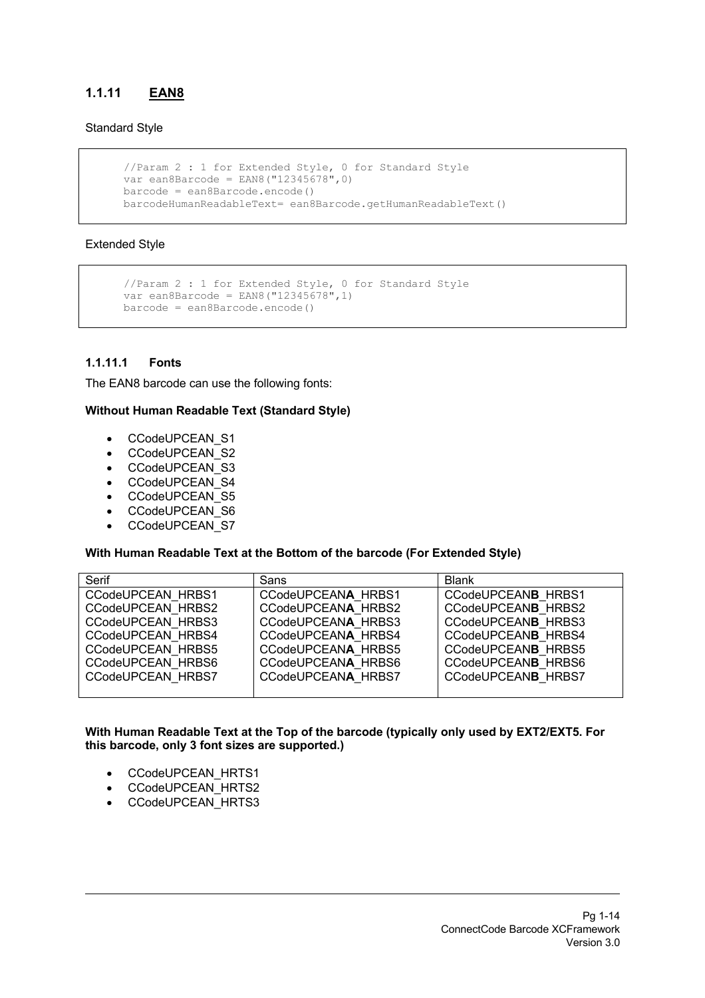## **1.1.11 EAN8**

#### Standard Style

```
 //Param 2 : 1 for Extended Style, 0 for Standard Style
 var ean8Barcode = EAN8("12345678",0)
 barcode = ean8Barcode.encode()
 barcodeHumanReadableText= ean8Barcode.getHumanReadableText()
```
#### Extended Style

```
 //Param 2 : 1 for Extended Style, 0 for Standard Style
var ean8Barcode = EAN8("12345678", 1) barcode = ean8Barcode.encode()
```
#### **1.1.11.1 Fonts**

The EAN8 barcode can use the following fonts:

#### **Without Human Readable Text (Standard Style)**

- CCodeUPCEAN\_S1
- CCodeUPCEAN\_S2
- CCodeUPCEAN\_S3
- CCodeUPCEAN\_S4
- CCodeUPCEAN\_S5
- CCodeUPCEAN\_S6
- CCodeUPCEAN\_S7

#### **With Human Readable Text at the Bottom of the barcode (For Extended Style)**

| Serif             | Sans               | <b>Blank</b>              |
|-------------------|--------------------|---------------------------|
| CCodeUPCEAN HRBS1 | CCodeUPCEANA HRBS1 | <b>CCodeUPCEANB HRBS1</b> |
| CCodeUPCEAN HRBS2 | CCodeUPCEANA HRBS2 | CCodeUPCEANB HRBS2        |
| CCodeUPCEAN HRBS3 | CCodeUPCEANA HRBS3 | CCodeUPCEANB HRBS3        |
| CCodeUPCEAN HRBS4 | CCodeUPCEANA HRBS4 | CCodeUPCEANB HRBS4        |
| CCodeUPCEAN HRBS5 | CCodeUPCEANA HRBS5 | CCodeUPCEANB HRBS5        |
| CCodeUPCEAN HRBS6 | CCodeUPCEANA HRBS6 | CCodeUPCEANB HRBS6        |
| CCodeUPCEAN HRBS7 | CCodeUPCEANA HRBS7 | <b>CCodeUPCEANB HRBS7</b> |
|                   |                    |                           |

- CCodeUPCEAN\_HRTS1
- CCodeUPCEAN\_HRTS2
- CCodeUPCEAN\_HRTS3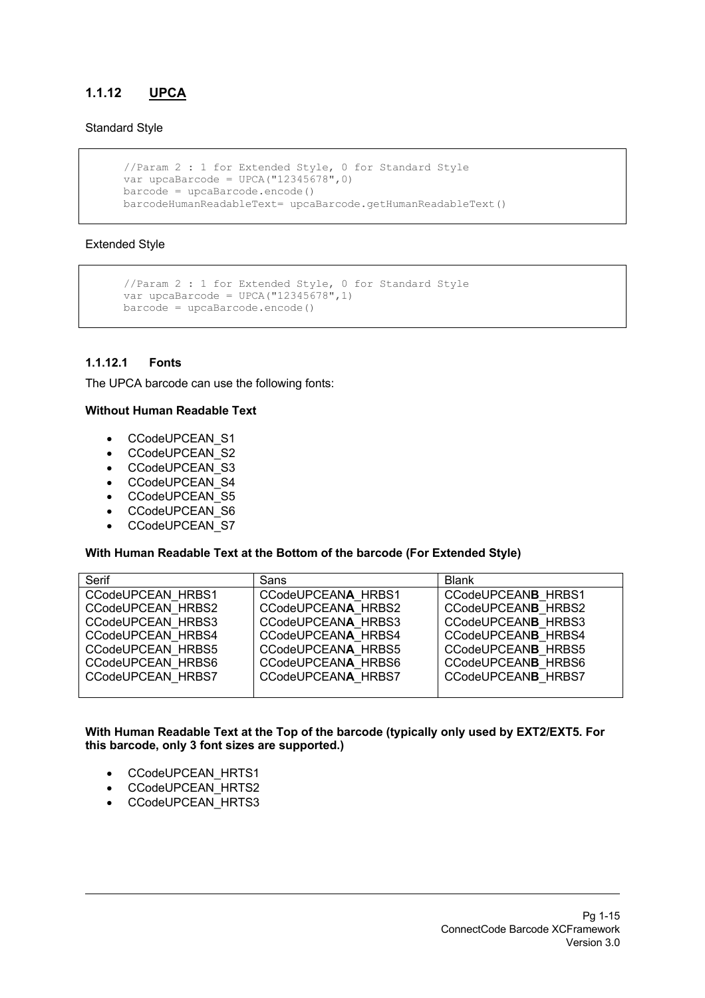## **1.1.12 UPCA**

#### Standard Style

```
 //Param 2 : 1 for Extended Style, 0 for Standard Style
var upcaBarcode = UPCA("12345678", 0)
barcode = upcaBarcode.encode() barcodeHumanReadableText= upcaBarcode.getHumanReadableText()
```
#### Extended Style

```
 //Param 2 : 1 for Extended Style, 0 for Standard Style
var upcaBarcode = UPCA('12345678", 1)barcode = upcaBarcode.encode()
```
#### **1.1.12.1 Fonts**

The UPCA barcode can use the following fonts:

#### **Without Human Readable Text**

- CCodeUPCEAN\_S1
- CCodeUPCEAN\_S2
- CCodeUPCEAN\_S3
- CCodeUPCEAN\_S4
- CCodeUPCEAN\_S5
- CCodeUPCEAN\_S6
- CCodeUPCEAN\_S7

#### **With Human Readable Text at the Bottom of the barcode (For Extended Style)**

| Serif                    | Sans               | <b>Blank</b>              |
|--------------------------|--------------------|---------------------------|
| CCodeUPCEAN HRBS1        | CCodeUPCEANA HRBS1 | CCodeUPCEANB HRBS1        |
| CCodeUPCEAN HRBS2        | CCodeUPCEANA HRBS2 | CCodeUPCEANB HRBS2        |
| CCodeUPCEAN HRBS3        | CCodeUPCEANA HRBS3 | CCodeUPCEANB HRBS3        |
| CCodeUPCEAN HRBS4        | CCodeUPCEANA HRBS4 | CCodeUPCEANB HRBS4        |
| CCodeUPCEAN HRBS5        | CCodeUPCEANA HRBS5 | CCodeUPCEANB HRBS5        |
| CCodeUPCEAN HRBS6        | CCodeUPCEANA HRBS6 | CCodeUPCEANB HRBS6        |
| <b>CCodeUPCEAN HRBS7</b> | CCodeUPCEANA HRBS7 | <b>CCodeUPCEANB HRBS7</b> |
|                          |                    |                           |

- CCodeUPCEAN\_HRTS1
- CCodeUPCEAN\_HRTS2
- CCodeUPCEAN\_HRTS3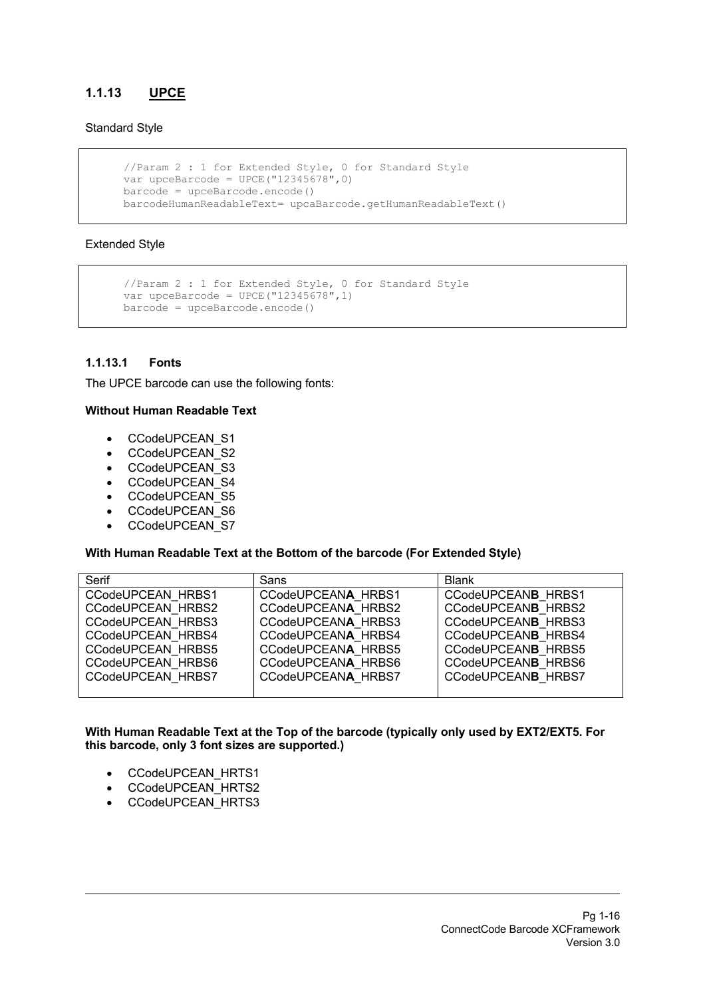## **1.1.13 UPCE**

#### Standard Style

```
 //Param 2 : 1 for Extended Style, 0 for Standard Style
var upceBarcode = UPCE("12345678", 0)
barcode = upceBarcode.encode() barcodeHumanReadableText= upcaBarcode.getHumanReadableText()
```
#### Extended Style

```
 //Param 2 : 1 for Extended Style, 0 for Standard Style
var upceBarcode = UPCE("12345678", 1)barcode = upceBarcode.encode()
```
#### **1.1.13.1 Fonts**

The UPCE barcode can use the following fonts:

#### **Without Human Readable Text**

- CCodeUPCEAN\_S1
- CCodeUPCEAN\_S2
- CCodeUPCEAN\_S3
- CCodeUPCEAN\_S4
- CCodeUPCEAN\_S5
- CCodeUPCEAN\_S6
- CCodeUPCEAN\_S7

#### **With Human Readable Text at the Bottom of the barcode (For Extended Style)**

| Serif             | Sans               | <b>Blank</b>              |
|-------------------|--------------------|---------------------------|
| CCodeUPCEAN HRBS1 | CCodeUPCEANA HRBS1 | CCodeUPCEANB HRBS1        |
| CCodeUPCEAN HRBS2 | CCodeUPCEANA HRBS2 | CCodeUPCEANB HRBS2        |
| CCodeUPCEAN HRBS3 | CCodeUPCEANA HRBS3 | CCodeUPCEANB HRBS3        |
| CCodeUPCEAN HRBS4 | CCodeUPCEANA HRBS4 | CCodeUPCEANB HRBS4        |
| CCodeUPCEAN HRBS5 | CCodeUPCEANA HRBS5 | CCodeUPCEANB HRBS5        |
| CCodeUPCEAN HRBS6 | CCodeUPCEANA HRBS6 | CCodeUPCEANB HRBS6        |
| CCodeUPCEAN HRBS7 | CCodeUPCEANA HRBS7 | <b>CCodeUPCEANB HRBS7</b> |
|                   |                    |                           |

- CCodeUPCEAN\_HRTS1
- CCodeUPCEAN\_HRTS2
- CCodeUPCEAN\_HRTS3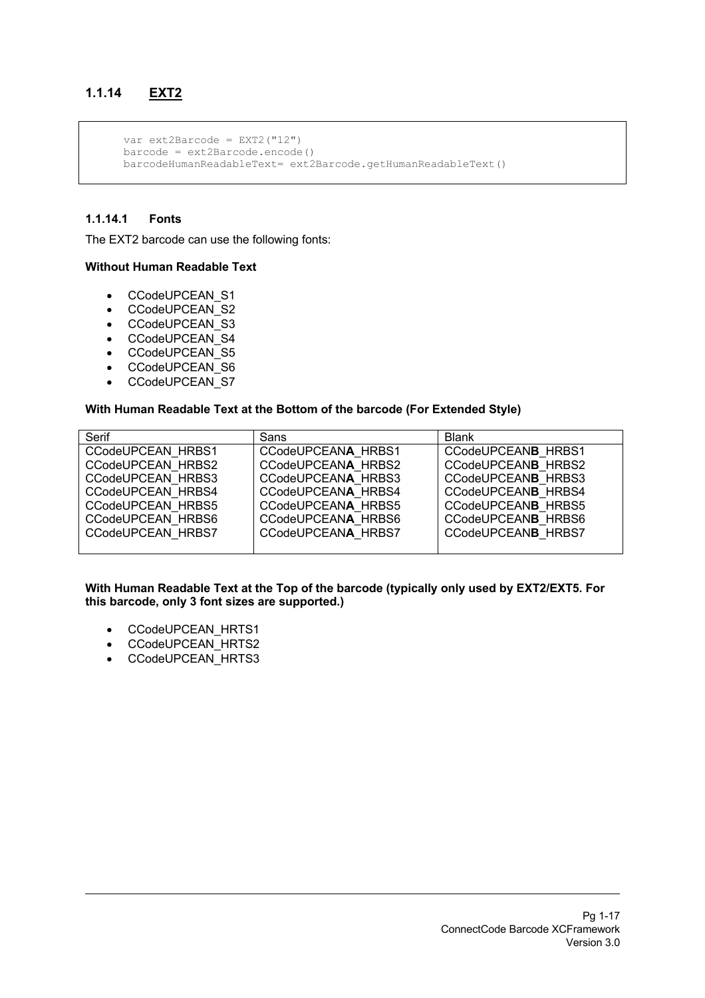## **1.1.14 EXT2**

```
 var ext2Barcode = EXT2("12")
 barcode = ext2Barcode.encode()
 barcodeHumanReadableText= ext2Barcode.getHumanReadableText()
```
#### **1.1.14.1 Fonts**

The EXT2 barcode can use the following fonts:

#### **Without Human Readable Text**

- CCodeUPCEAN\_S1
- CCodeUPCEAN\_S2
- CCodeUPCEAN\_S3
- CCodeUPCEAN\_S4
- CCodeUPCEAN\_S5
- CCodeUPCEAN\_S6
- CCodeUPCEAN\_S7

#### **With Human Readable Text at the Bottom of the barcode (For Extended Style)**

| Serif             | Sans               | <b>Blank</b>              |
|-------------------|--------------------|---------------------------|
| CCodeUPCEAN HRBS1 | CCodeUPCEANA HRBS1 | <b>CCodeUPCEANB HRBS1</b> |
| CCodeUPCEAN HRBS2 | CCodeUPCEANA HRBS2 | CCodeUPCEANB HRBS2        |
| CCodeUPCEAN HRBS3 | CCodeUPCEANA HRBS3 | CCodeUPCEANB HRBS3        |
| CCodeUPCEAN HRBS4 | CCodeUPCEANA HRBS4 | CCodeUPCEANB HRBS4        |
| CCodeUPCEAN HRBS5 | CCodeUPCEANA HRBS5 | CCodeUPCEANB HRBS5        |
| CCodeUPCEAN HRBS6 | CCodeUPCEANA HRBS6 | CCodeUPCEANB HRBS6        |
| CCodeUPCEAN HRBS7 | CCodeUPCEANA HRBS7 | <b>CCodeUPCEANB HRBS7</b> |
|                   |                    |                           |

- CCodeUPCEAN\_HRTS1
- CCodeUPCEAN\_HRTS2
- CCodeUPCEAN\_HRTS3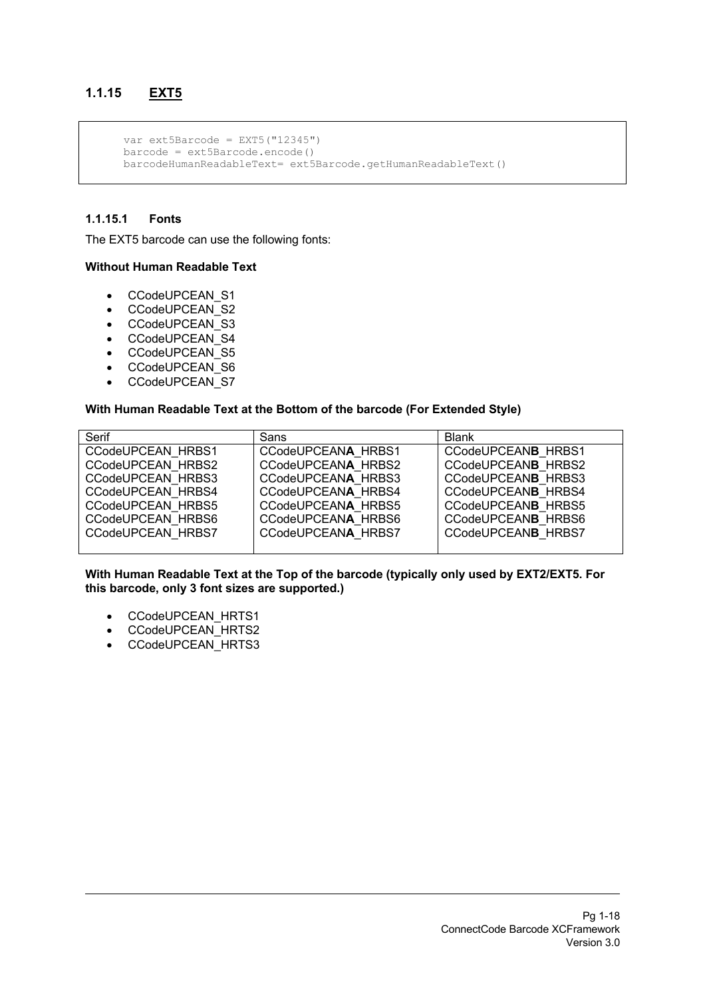## **1.1.15 EXT5**

```
var ext5Barcode = EXT5('12345'') barcode = ext5Barcode.encode()
 barcodeHumanReadableText= ext5Barcode.getHumanReadableText()
```
#### **1.1.15.1 Fonts**

The EXT5 barcode can use the following fonts:

#### **Without Human Readable Text**

- CCodeUPCEAN\_S1
- CCodeUPCEAN\_S2
- CCodeUPCEAN\_S3
- CCodeUPCEAN\_S4
- CCodeUPCEAN\_S5
- CCodeUPCEAN\_S6
- CCodeUPCEAN\_S7

#### **With Human Readable Text at the Bottom of the barcode (For Extended Style)**

| Serif                    | Sans               | <b>Blank</b>       |
|--------------------------|--------------------|--------------------|
| CCodeUPCEAN HRBS1        | CCodeUPCEANA HRBS1 | CCodeUPCEANB HRBS1 |
| CCodeUPCEAN HRBS2        | CCodeUPCEANA HRBS2 | CCodeUPCEANB HRBS2 |
| CCodeUPCEAN HRBS3        | CCodeUPCEANA HRBS3 | CCodeUPCEANB HRBS3 |
| CCodeUPCEAN HRBS4        | CCodeUPCEANA HRBS4 | CCodeUPCEANB HRBS4 |
| CCodeUPCEAN HRBS5        | CCodeUPCEANA HRBS5 | CCodeUPCEANB HRBS5 |
| <b>CCodeUPCEAN HRBS6</b> | CCodeUPCEANA HRBS6 | CCodeUPCEANB HRBS6 |
| CCodeUPCEAN HRBS7        | CCodeUPCEANA HRBS7 | CCodeUPCEANB HRBS7 |
|                          |                    |                    |

- CCodeUPCEAN\_HRTS1
- CCodeUPCEAN\_HRTS2
- CCodeUPCEAN\_HRTS3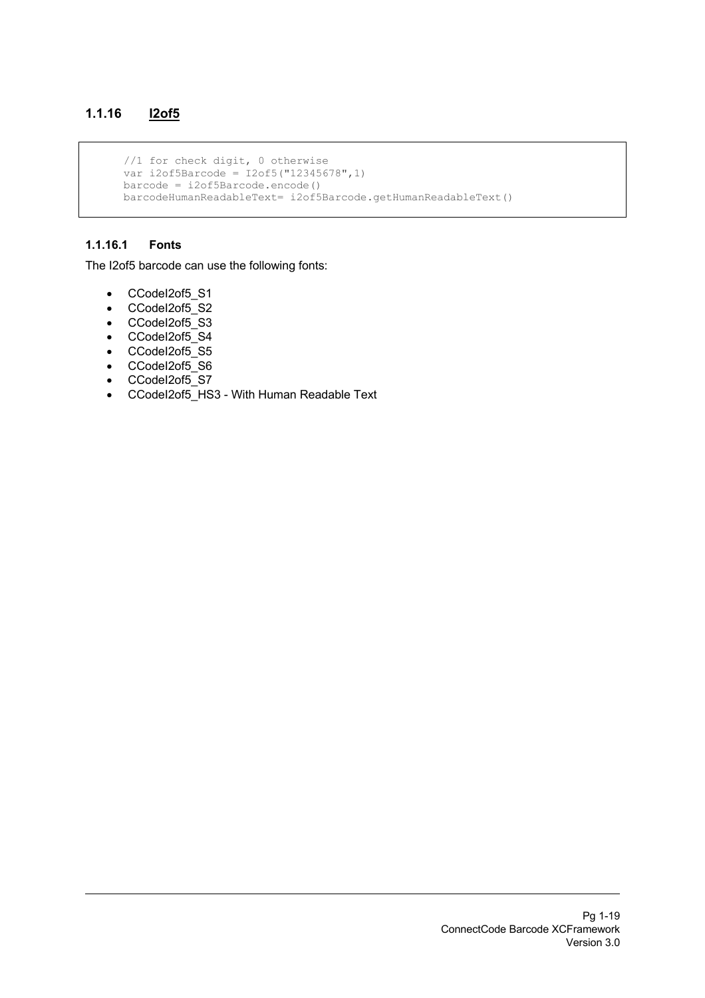## **1.1.16 I2of5**

```
 //1 for check digit, 0 otherwise
 var i2of5Barcode = I2of5("12345678",1)
 barcode = i2of5Barcode.encode()
 barcodeHumanReadableText= i2of5Barcode.getHumanReadableText()
```
#### **1.1.16.1 Fonts**

The I2of5 barcode can use the following fonts:

- CCodeI2of5\_S1
- CCodel2of5\_S2
- CCodeI2of5\_S3
- CCodeI2of5\_S4
- CCodel2of5\_S5
- CCodeI2of5\_S6
- CCodeI2of5\_S7
- CCodeI2of5\_HS3 With Human Readable Text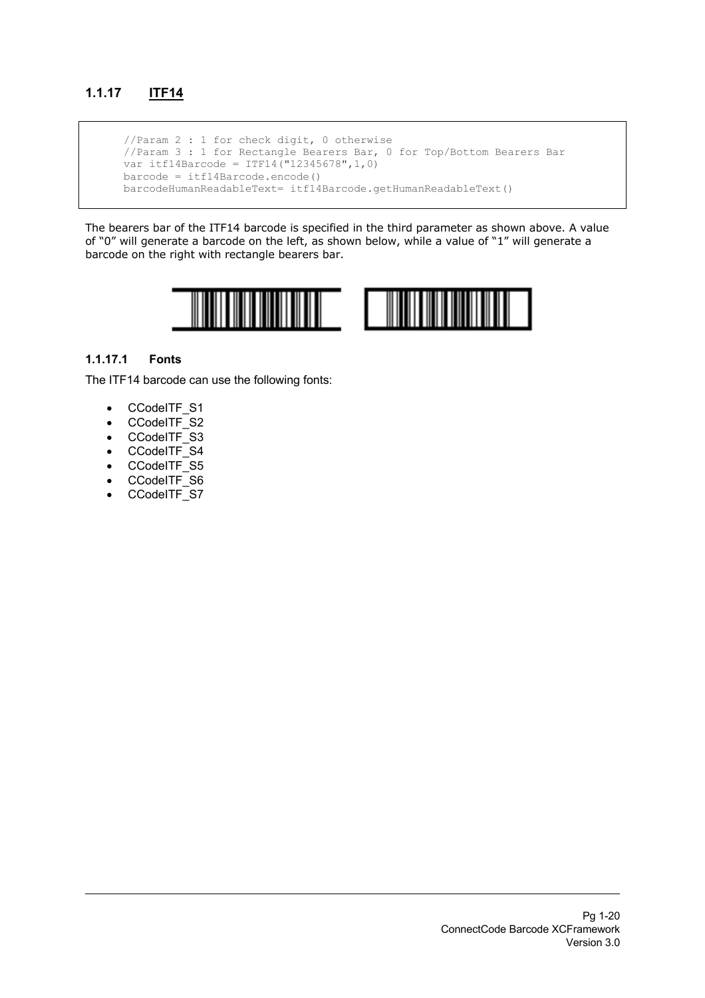## **1.1.17 ITF14**

 //Param 2 : 1 for check digit, 0 otherwise //Param 3 : 1 for Rectangle Bearers Bar, 0 for Top/Bottom Bearers Bar var itf14Barcode = ITF14("12345678",1,0) barcode = itf14Barcode.encode() barcodeHumanReadableText= itf14Barcode.getHumanReadableText()

The bearers bar of the ITF14 barcode is specified in the third parameter as shown above. A value of "0" will generate a barcode on the left, as shown below, while a value of "1" will generate a barcode on the right with rectangle bearers bar.



#### **1.1.17.1 Fonts**

The ITF14 barcode can use the following fonts:

- CCodeITF S1
- CCodeITF\_S2
- CCodeITF\_S3
- CCodeITF\_S4
- CCodeITF\_S5
- CCodeITF\_S6
- CCodeITF\_S7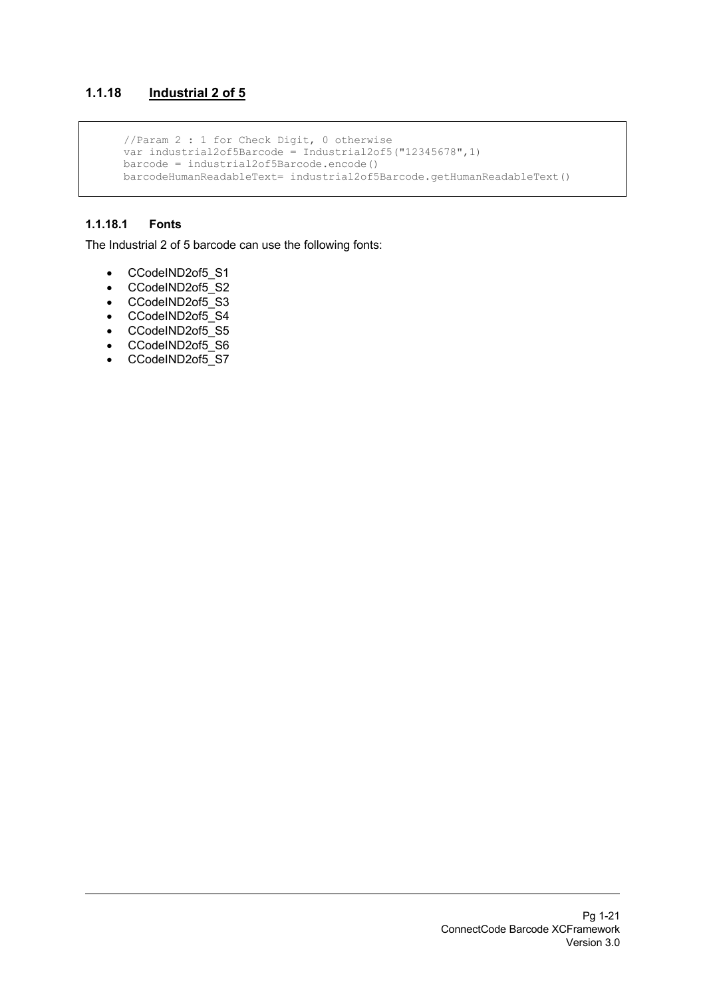## **1.1.18 Industrial 2 of 5**

 //Param 2 : 1 for Check Digit, 0 otherwise var industrial2of5Barcode = Industrial2of5("12345678",1) barcode = industrial2of5Barcode.encode() barcodeHumanReadableText= industrial2of5Barcode.getHumanReadableText()

#### **1.1.18.1 Fonts**

The Industrial 2 of 5 barcode can use the following fonts:

- CCodeIND2of5\_S1
- CCodeIND2of5\_S2
- CCodeIND2of5\_S3
- CCodeIND2of5\_S4
- CCodeIND2of5\_S5
- CCodeIND2of5\_S6
- CCodeIND2of5\_S7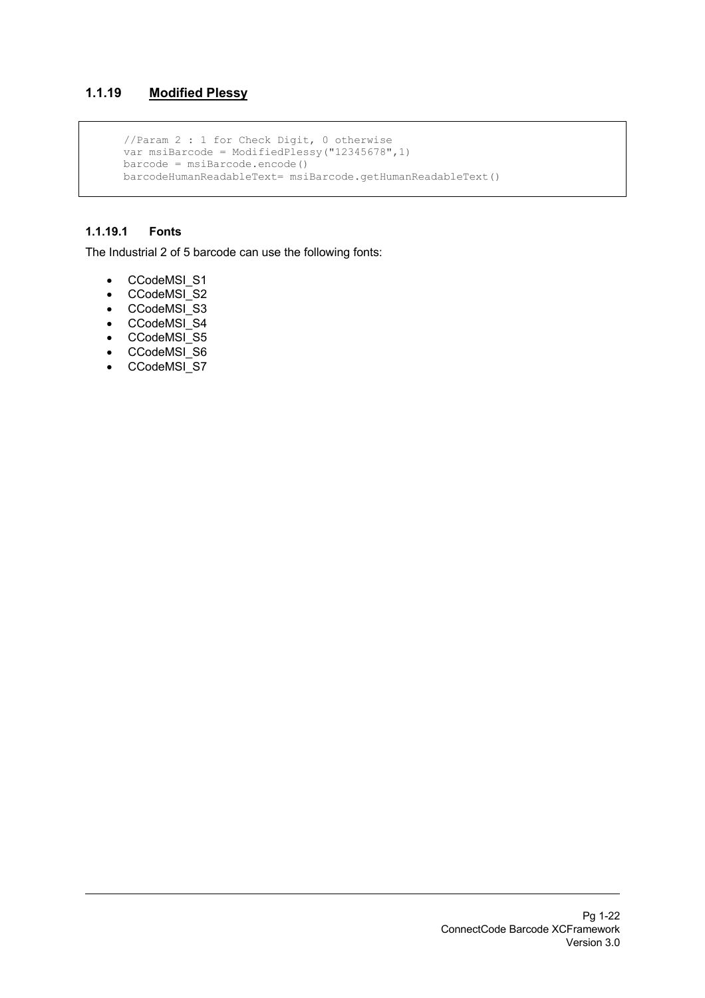## **1.1.19 Modified Plessy**

```
 //Param 2 : 1 for Check Digit, 0 otherwise
 var msiBarcode = ModifiedPlessy("12345678",1)
 barcode = msiBarcode.encode()
 barcodeHumanReadableText= msiBarcode.getHumanReadableText()
```
### **1.1.19.1 Fonts**

The Industrial 2 of 5 barcode can use the following fonts:

- CCodeMSI\_S1
- CCodeMSI\_S2
- CCodeMSI\_S3
- CCodeMSI\_S4
- CCodeMSI\_S5
- CCodeMSI\_S6
- CCodeMSI\_S7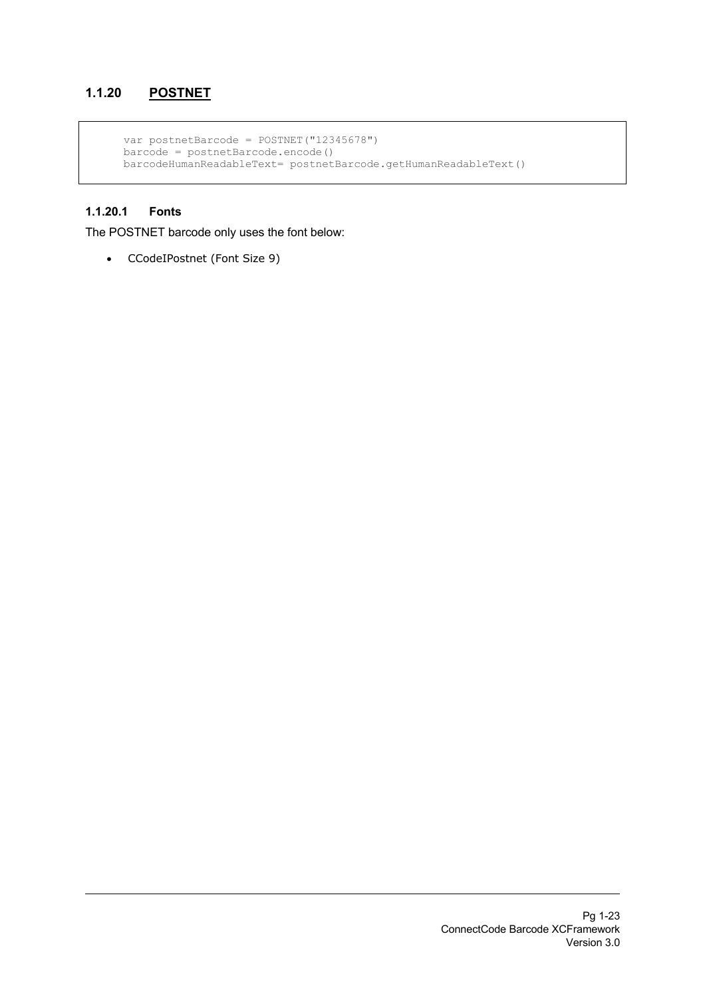## **1.1.20 POSTNET**

```
 var postnetBarcode = POSTNET("12345678")
barcode = postnetBarcode.encode() barcodeHumanReadableText= postnetBarcode.getHumanReadableText()
```
## **1.1.20.1 Fonts**

The POSTNET barcode only uses the font below:

• CCodeIPostnet (Font Size 9)